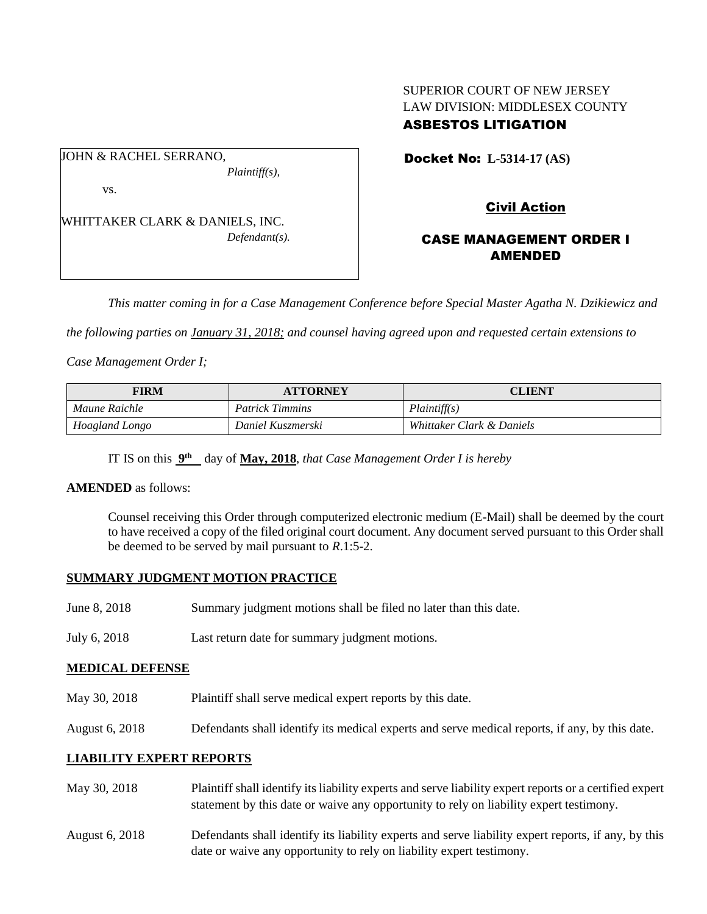## SUPERIOR COURT OF NEW JERSEY LAW DIVISION: MIDDLESEX COUNTY ASBESTOS LITIGATION

JOHN & RACHEL SERRANO, *Plaintiff(s),*

vs.

WHITTAKER CLARK & DANIELS, INC. *Defendant(s).* Docket No: **L-5314-17 (AS)** 

# Civil Action

## CASE MANAGEMENT ORDER I AMENDED

*This matter coming in for a Case Management Conference before Special Master Agatha N. Dzikiewicz and* 

*the following parties on January 31, 2018; and counsel having agreed upon and requested certain extensions to* 

*Case Management Order I;*

| FIRM           | <b>ATTORNEY</b>        | <b>CLIENT</b>             |
|----------------|------------------------|---------------------------|
| Maune Raichle  | <b>Patrick Timmins</b> | <i>Plaintiff(s)</i>       |
| Hoagland Longo | Daniel Kuszmerski      | Whittaker Clark & Daniels |

IT IS on this  $9^{\text{th}}$  day of May, 2018, *that Case Management Order I is hereby* 

#### **AMENDED** as follows:

Counsel receiving this Order through computerized electronic medium (E-Mail) shall be deemed by the court to have received a copy of the filed original court document. Any document served pursuant to this Order shall be deemed to be served by mail pursuant to *R*.1:5-2.

## **SUMMARY JUDGMENT MOTION PRACTICE**

- June 8, 2018 Summary judgment motions shall be filed no later than this date.
- July 6, 2018 Last return date for summary judgment motions.

#### **MEDICAL DEFENSE**

- May 30, 2018 Plaintiff shall serve medical expert reports by this date.
- August 6, 2018 Defendants shall identify its medical experts and serve medical reports, if any, by this date.

## **LIABILITY EXPERT REPORTS**

- May 30, 2018 Plaintiff shall identify its liability experts and serve liability expert reports or a certified expert statement by this date or waive any opportunity to rely on liability expert testimony.
- August 6, 2018 Defendants shall identify its liability experts and serve liability expert reports, if any, by this date or waive any opportunity to rely on liability expert testimony.